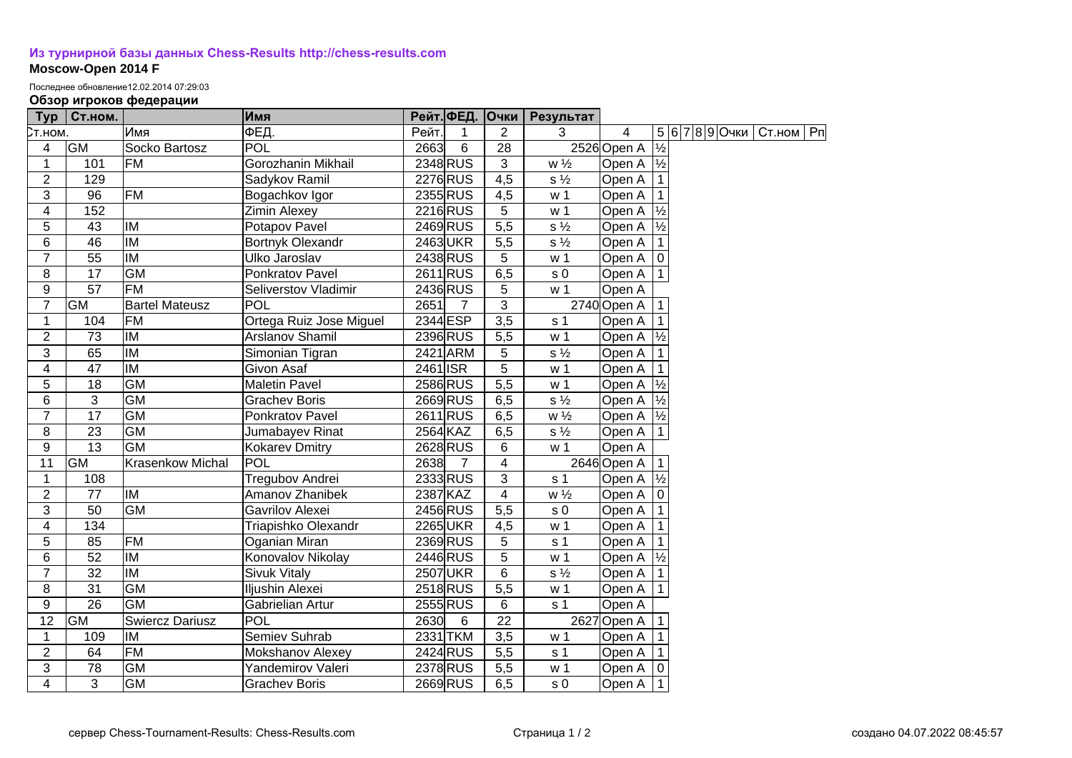## **[Из турнирной базы данных Chess-Results http://chess-results.com](http://chess-results.com/) Moscow-Open 2014 F**

Последнее обновление12.02.2014 07:29:03

## **Обзор игроков федерации**

| Typ             | Ст.ном.         |                          | Имя                     |          |                | Рейт. ФЕД. Очки  | Результат      |                      |               |                |             |  |
|-----------------|-----------------|--------------------------|-------------------------|----------|----------------|------------------|----------------|----------------------|---------------|----------------|-------------|--|
| Ст.ном.         |                 | Имя                      | ФЕД.                    | Рейт.    | 1              | $\overline{2}$   | 3              | 4                    |               | 5 6 7 8 9 Очки | Ст.ном   Рп |  |
| 4               | <b>GM</b>       | Socko Bartosz            | <b>POL</b>              | 2663     | 6              | $\overline{28}$  |                | 2526 Open A          | $\frac{1}{2}$ |                |             |  |
| $\mathbf{1}$    | 101             | <b>FM</b>                | Gorozhanin Mikhail      |          | 2348 RUS       | $\overline{3}$   | $w\frac{1}{2}$ | Open A $\frac{1}{2}$ |               |                |             |  |
| $\overline{2}$  | 129             |                          | Sadykov Ramil           |          | 2276 RUS       | $\overline{4,5}$ | $s\frac{1}{2}$ | Open A               |               |                |             |  |
| 3               | 96              | <b>FM</b>                | Bogachkov Igor          |          | 2355 RUS       | 4,5              | w <sub>1</sub> | Open A               |               |                |             |  |
| 4               | 152             |                          | <b>Zimin Alexey</b>     |          | 2216 RUS       | 5                | w <sub>1</sub> | Open A               | $\frac{1}{2}$ |                |             |  |
| 5               | $\overline{43}$ | IM                       | Potapov Pavel           |          | 2469 RUS       | 5,5              | $s\frac{1}{2}$ | Open A               | $\frac{1}{2}$ |                |             |  |
| 6               | $\overline{46}$ | $\overline{M}$           | Bortnyk Olexandr        |          | 2463UKR        | 5,5              | $s\frac{1}{2}$ | Open A               |               |                |             |  |
| $\overline{7}$  | 55              | <b>IM</b>                | Ulko Jaroslav           |          | 2438 RUS       | 5                | w <sub>1</sub> | Open A   0           |               |                |             |  |
| 8               | 17              | <b>GM</b>                | Ponkratov Pavel         |          | 2611 RUS       | 6,5              | s <sub>0</sub> | Open A   1           |               |                |             |  |
| $9$             | 57              | FM                       | Seliverstov Vladimir    |          | 2436 RUS       | 5                | w <sub>1</sub> | Open A               |               |                |             |  |
| $\overline{7}$  | GM              | <b>Bartel Mateusz</b>    | POL                     | 2651     | $\overline{7}$ | 3                |                | 2740 Open A          |               |                |             |  |
| 1               | 104             | <b>FM</b>                | Ortega Ruiz Jose Miguel | 2344 ESP |                | 3,5              | s <sub>1</sub> | Open A               |               |                |             |  |
| $\overline{2}$  | 73              | IM                       | Arslanov Shamil         |          | 2396 RUS       | 5,5              | w <sub>1</sub> | Open A $\frac{1}{2}$ |               |                |             |  |
| 3               | 65              | IM                       | Simonian Tigran         |          | 2421 ARM       | 5                | $s\frac{1}{2}$ | Open A               |               |                |             |  |
| 4               | 47              | IM                       | Givon Asaf              | 2461 ISR |                | 5                | w <sub>1</sub> | Open A               |               |                |             |  |
| 5               | 18              | <b>GM</b>                | <b>Maletin Pavel</b>    |          | 2586 RUS       | $\overline{5,5}$ | w <sub>1</sub> | Open A $\frac{1}{2}$ |               |                |             |  |
| 6               | 3               | <b>GM</b>                | <b>Grachev Boris</b>    |          | 2669RUS        | 6,5              | $s\frac{1}{2}$ | Open A $\frac{1}{2}$ |               |                |             |  |
| $\overline{7}$  | 17              | <b>GM</b>                | Ponkratov Pavel         |          | 2611 RUS       | 6,5              | $w\frac{1}{2}$ | Open A  ½            |               |                |             |  |
| 8               | 23              | <b>GM</b>                | Jumabayev Rinat         | 2564 KAZ |                | 6,5              | $s\frac{1}{2}$ | Open A               | $\vert$ 1     |                |             |  |
| 9               | 13              | <b>GM</b>                | Kokarev Dmitry          |          | 2628 RUS       | 6                | w <sub>1</sub> | Open A               |               |                |             |  |
| 11              | GM              | <b>Krasenkow Michal</b>  | POL                     | 2638     | $\overline{7}$ | 4                |                | 2646 Open A          |               |                |             |  |
| $\mathbf{1}$    | 108             |                          | Tregubov Andrei         |          | 2333 RUS       | 3                | s <sub>1</sub> | Open A               | $\frac{1}{2}$ |                |             |  |
| $\overline{2}$  | 77              | <b>IM</b>                | Amanov Zhanibek         | 2387 KAZ |                | 4                | $w\frac{1}{2}$ | Open A               | ۱o            |                |             |  |
| $\overline{3}$  | 50              | <b>GM</b>                | Gavrilov Alexei         |          | 2456 RUS       | 5,5              | s <sub>0</sub> | Open A               |               |                |             |  |
| $\overline{4}$  | 134             |                          | Triapishko Olexandr     |          | 2265UKR        | 4,5              | w <sub>1</sub> | Open A               |               |                |             |  |
| 5               | 85              | FM                       | Oganian Miran           |          | 2369 RUS       | 5                | s <sub>1</sub> | Open A               |               |                |             |  |
| 6               | 52              | <b>IM</b>                | Konovalov Nikolay       |          | 2446 RUS       | 5                | w <sub>1</sub> | Open A $\frac{1}{2}$ |               |                |             |  |
| $\overline{7}$  | $\overline{32}$ | $\overline{\mathsf{IM}}$ | <b>Sivuk Vitaly</b>     |          | 2507 UKR       | $6\phantom{1}6$  | $s\frac{1}{2}$ | Open A               |               |                |             |  |
| $\overline{8}$  | $\overline{31}$ | $\overline{GM}$          | Iljushin Alexei         |          | 2518RUS        | $\overline{5,5}$ | w <sub>1</sub> | Open A   1           |               |                |             |  |
| 9               | $\overline{26}$ | GM                       | Gabrielian Artur        |          | 2555 RUS       | 6                | s <sub>1</sub> | Open A               |               |                |             |  |
| $\overline{12}$ | <b>GM</b>       | <b>Swiercz Dariusz</b>   | POL                     | 2630     | 6              | 22               |                | 2627 Open A          |               |                |             |  |
| 1               | 109             | IM                       | Semiev Suhrab           |          | 2331 TKM       | 3,5              | w <sub>1</sub> | Open A               |               |                |             |  |
| $\overline{2}$  | 64              | <b>FM</b>                | Mokshanov Alexey        |          | 2424 RUS       | 5,5              | s <sub>1</sub> | Open A               |               |                |             |  |
| 3               | 78              | $\overline{GM}$          | Yandemirov Valeri       |          | 2378 RUS       | $\overline{5,5}$ | w <sub>1</sub> | Open A               |               |                |             |  |
| $\overline{4}$  | 3               | GM                       | <b>Grachev Boris</b>    |          | 2669 RUS       | 6,5              | s <sub>0</sub> | Open A 11            |               |                |             |  |